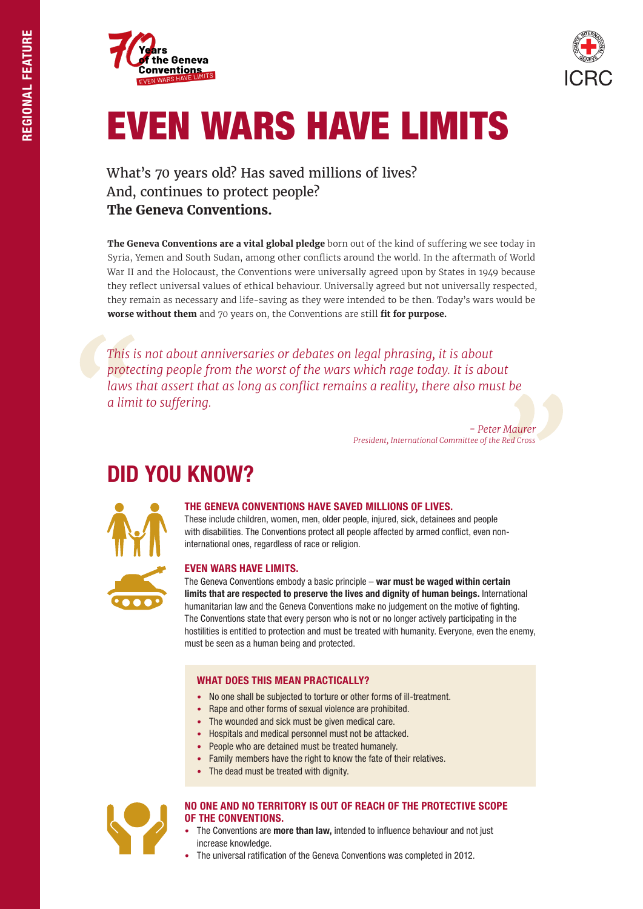



# EVEN WARS HAVE LIMITS

### What's 70 years old? Has saved millions of lives? And, continues to protect people? **The Geneva Conventions.**

**The Geneva Conventions are a vital global pledge** born out of the kind of suffering we see today in Syria, Yemen and South Sudan, among other conflicts around the world. In the aftermath of World War II and the Holocaust, the Conventions were universally agreed upon by States in 1949 because they reflect universal values of ethical behaviour. Universally agreed but not universally respected, they remain as necessary and life-saving as they were intended to be then. Today's wars would be **worse without them** and 70 years on, the Conventions are still **fit for purpose.** 

*This is not about anniversaries or debates on legal phrasing, it is about protecting people from the worst of the wars which rage today. It is about laws that assert that as long as conflict remains a reality, there also must be a limit to suffering.*

> *- Peter Maurer President, International Committee of the Red Cross*

## DID YOU KNOW?



#### THE GENEVA CONVENTIONS HAVE SAVED MILLIONS OF LIVES.

These include children, women, men, older people, injured, sick, detainees and people with disabilities. The Conventions protect all people affected by armed conflict, even noninternational ones, regardless of race or religion.

#### EVEN WARS HAVE LIMITS.

The Geneva Conventions embody a basic principle – war must be waged within certain limits that are respected to preserve the lives and dignity of human beings. International humanitarian law and the Geneva Conventions make no judgement on the motive of fighting. The Conventions state that every person who is not or no longer actively participating in the hostilities is entitled to protection and must be treated with humanity. Everyone, even the enemy, must be seen as a human being and protected.

#### WHAT DOES THIS MEAN PRACTICALLY?

- No one shall be subjected to torture or other forms of ill-treatment.
- Rape and other forms of sexual violence are prohibited.
- The wounded and sick must be given medical care.
- Hospitals and medical personnel must not be attacked.
- People who are detained must be treated humanely.
- Family members have the right to know the fate of their relatives.
- The dead must be treated with dignity.



#### NO ONE AND NO TERRITORY IS OUT OF REACH OF THE PROTECTIVE SCOPE OF THE CONVENTIONS.

- The Conventions are more than law, intended to influence behaviour and not just increase knowledge.
- The universal ratification of the Geneva Conventions was completed in 2012.